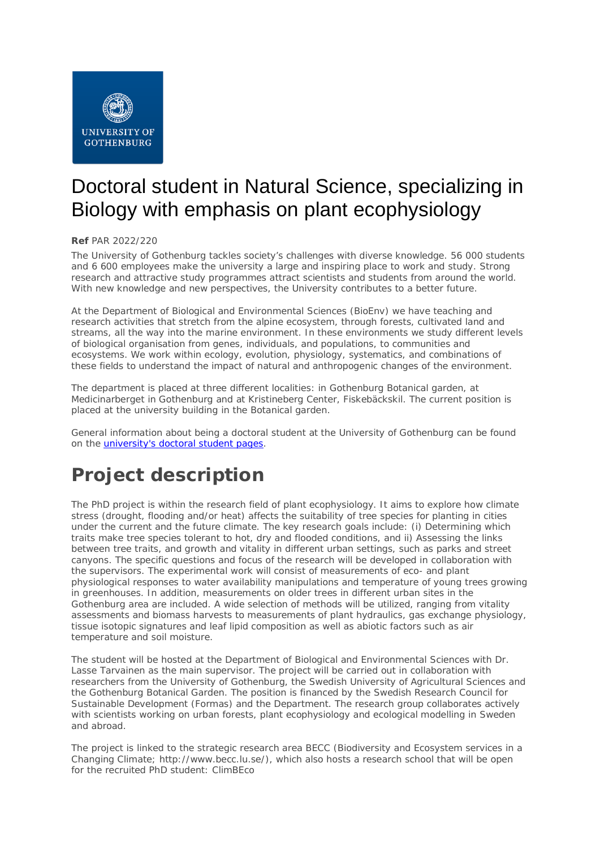

# Doctoral student in Natural Science, specializing in Biology with emphasis on plant ecophysiology

#### **Ref** PAR 2022/220

The University of Gothenburg tackles society's challenges with diverse knowledge. 56 000 students and 6 600 employees make the university a large and inspiring place to work and study. Strong research and attractive study programmes attract scientists and students from around the world. With new knowledge and new perspectives, the University contributes to a better future.

At the Department of Biological and Environmental Sciences (BioEnv) we have teaching and research activities that stretch from the alpine ecosystem, through forests, cultivated land and streams, all the way into the marine environment. In these environments we study different levels of biological organisation from genes, individuals, and populations, to communities and ecosystems. We work within ecology, evolution, physiology, systematics, and combinations of these fields to understand the impact of natural and anthropogenic changes of the environment.

The department is placed at three different localities: in Gothenburg Botanical garden, at Medicinarberget in Gothenburg and at Kristineberg Center, Fiskebäckskil. The current position is placed at the university building in the Botanical garden.

General information about being a doctoral student at the University of Gothenburg can be found on the *university's doctoral student pages*.

## **Project description**

The PhD project is within the research field of plant ecophysiology. It aims to explore how climate stress (drought, flooding and/or heat) affects the suitability of tree species for planting in cities under the current and the future climate. The key research goals include: (i) Determining which traits make tree species tolerant to hot, dry and flooded conditions, and ii) Assessing the links between tree traits, and growth and vitality in different urban settings, such as parks and street canyons. The specific questions and focus of the research will be developed in collaboration with the supervisors. The experimental work will consist of measurements of eco- and plant physiological responses to water availability manipulations and temperature of young trees growing in greenhouses. In addition, measurements on older trees in different urban sites in the Gothenburg area are included. A wide selection of methods will be utilized, ranging from vitality assessments and biomass harvests to measurements of plant hydraulics, gas exchange physiology, tissue isotopic signatures and leaf lipid composition as well as abiotic factors such as air temperature and soil moisture.

The student will be hosted at the Department of Biological and Environmental Sciences with Dr. Lasse Tarvainen as the main supervisor. The project will be carried out in collaboration with researchers from the University of Gothenburg, the Swedish University of Agricultural Sciences and the Gothenburg Botanical Garden. The position is financed by the Swedish Research Council for Sustainable Development (Formas) and the Department. The research group collaborates actively with scientists working on urban forests, plant ecophysiology and ecological modelling in Sweden and abroad.

The project is linked to the strategic research area BECC (Biodiversity and Ecosystem services in a Changing Climate; http://www.becc.lu.se/), which also hosts a research school that will be open for the recruited PhD student: ClimBEco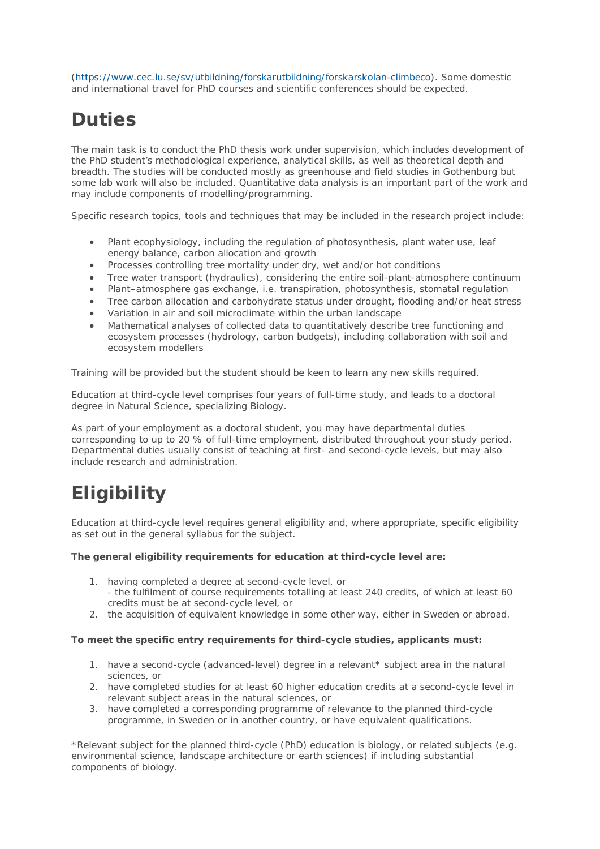[\(https://www.cec.lu.se/sv/utbildning/forskarutbildning/forskarskolan-climbeco\)](https://www.cec.lu.se/sv/utbildning/forskarutbildning/forskarskolan-climbeco). Some domestic and international travel for PhD courses and scientific conferences should be expected.

## **Duties**

The main task is to conduct the PhD thesis work under supervision, which includes development of the PhD student's methodological experience, analytical skills, as well as theoretical depth and breadth. The studies will be conducted mostly as greenhouse and field studies in Gothenburg but some lab work will also be included. Quantitative data analysis is an important part of the work and may include components of modelling/programming.

Specific research topics, tools and techniques that may be included in the research project include:

- Plant ecophysiology, including the regulation of photosynthesis, plant water use, leaf energy balance, carbon allocation and growth
- Processes controlling tree mortality under dry, wet and/or hot conditions
- Tree water transport (hydraulics), considering the entire soil-plant-atmosphere continuum
- Plant–atmosphere gas exchange, i.e. transpiration, photosynthesis, stomatal regulation
- Tree carbon allocation and carbohydrate status under drought, flooding and/or heat stress
- Variation in air and soil microclimate within the urban landscape
- Mathematical analyses of collected data to quantitatively describe tree functioning and ecosystem processes (hydrology, carbon budgets), including collaboration with soil and ecosystem modellers

Training will be provided but the student should be keen to learn any new skills required.

Education at third-cycle level comprises four years of full-time study, and leads to a doctoral degree in Natural Science, specializing Biology.

As part of your employment as a doctoral student, you may have departmental duties corresponding to up to 20 % of full-time employment, distributed throughout your study period. Departmental duties usually consist of teaching at first- and second-cycle levels, but may also include research and administration.

## **Eligibility**

Education at third-cycle level requires general eligibility and, where appropriate, specific eligibility as set out in the general syllabus for the subject.

#### **The general eligibility requirements for education at third-cycle level are:**

- 1. having completed a degree at second-cycle level, or - the fulfilment of course requirements totalling at least 240 credits, of which at least 60 credits must be at second-cycle level, or
- 2. the acquisition of equivalent knowledge in some other way, either in Sweden or abroad.

#### **To meet the specific entry requirements for third-cycle studies, applicants must:**

- 1. have a second-cycle (advanced-level) degree in a relevant\* subject area in the natural sciences, or
- 2. have completed studies for at least 60 higher education credits at a second-cycle level in relevant subject areas in the natural sciences, or
- 3. have completed a corresponding programme of relevance to the planned third-cycle programme, in Sweden or in another country, or have equivalent qualifications.

\*Relevant subject for the planned third-cycle (PhD) education is biology, or related subjects (e.g. environmental science, landscape architecture or earth sciences) if including substantial components of biology.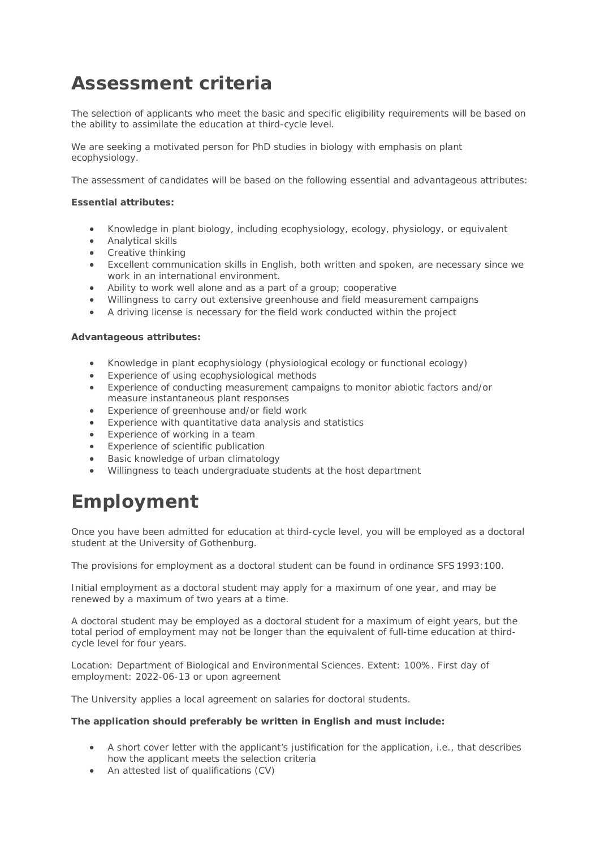### **Assessment criteria**

The selection of applicants who meet the basic and specific eligibility requirements will be based on the ability to assimilate the education at third-cycle level.

We are seeking a motivated person for PhD studies in biology with emphasis on plant ecophysiology.

The assessment of candidates will be based on the following essential and advantageous attributes:

#### **Essential attributes:**

- Knowledge in plant biology, including ecophysiology, ecology, physiology, or equivalent
- Analytical skills
- Creative thinking
- Excellent communication skills in English, both written and spoken, are necessary since we work in an international environment.
- Ability to work well alone and as a part of a group; cooperative
- Willingness to carry out extensive greenhouse and field measurement campaigns
- A driving license is necessary for the field work conducted within the project

#### **Advantageous attributes:**

- Knowledge in plant ecophysiology (physiological ecology or functional ecology)
- Experience of using ecophysiological methods
- Experience of conducting measurement campaigns to monitor abiotic factors and/or measure instantaneous plant responses
- Experience of greenhouse and/or field work
- Experience with quantitative data analysis and statistics
- Experience of working in a team
- Experience of scientific publication
- Basic knowledge of urban climatology
- Willingness to teach undergraduate students at the host department

### **Employment**

Once you have been admitted for education at third-cycle level, you will be employed as a doctoral student at the University of Gothenburg.

The provisions for employment as a doctoral student can be found in ordinance SFS 1993:100.

Initial employment as a doctoral student may apply for a maximum of one year, and may be renewed by a maximum of two years at a time.

A doctoral student may be employed as a doctoral student for a maximum of eight years, but the total period of employment may not be longer than the equivalent of full-time education at thirdcycle level for four years.

Location: Department of Biological and Environmental Sciences. Extent: 100%. First day of employment: 2022-06-13 or upon agreement

The University applies a local agreement on salaries for doctoral students.

#### **The application should preferably be written in English and must include:**

- A short cover letter with the applicant's justification for the application, i.e., that describes how the applicant meets the selection criteria
- An attested list of qualifications (CV)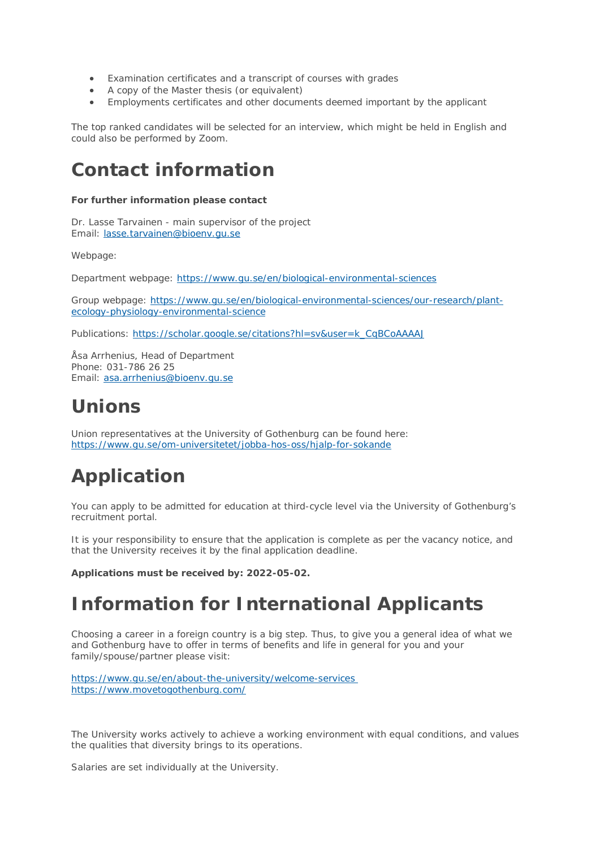- Examination certificates and a transcript of courses with grades
- A copy of the Master thesis (or equivalent)
- Employments certificates and other documents deemed important by the applicant

The top ranked candidates will be selected for an interview, which might be held in English and could also be performed by Zoom.

### **Contact information**

#### **For further information please contact**

Dr. Lasse Tarvainen - main supervisor of the project Email: [lasse.tarvainen@bioenv.gu.se](mailto:lasse.tarvainen@bioenv.gu.se)

Webpage:

Department webpage: <https://www.gu.se/en/biological-environmental-sciences>

Group webpage: [https://www.gu.se/en/biological-environmental-sciences/our-research/plant](https://www.gu.se/en/biological-environmental-sciences/our-research/plant-ecology-physiology-environmental-science)[ecology-physiology-environmental-science](https://www.gu.se/en/biological-environmental-sciences/our-research/plant-ecology-physiology-environmental-science)

Publications: [https://scholar.google.se/citations?hl=sv&user=k\\_CqBCoAAAAJ](https://scholar.google.se/citations?hl=sv&user=k_CqBCoAAAAJ)

Åsa Arrhenius, Head of Department Phone: 031-786 26 25 Email: [asa.arrhenius@bioenv.gu.se](mailto:asa.arrhenius@bioenv.gu.se) 

### **Unions**

Union representatives at the University of Gothenburg can be found here: <https://www.gu.se/om-universitetet/jobba-hos-oss/hjalp-for-sokande>

# **Application**

You can apply to be admitted for education at third-cycle level via the University of Gothenburg's recruitment portal.

It is your responsibility to ensure that the application is complete as per the vacancy notice, and that the University receives it by the final application deadline.

**Applications must be received by: 2022-05-02.**

### **Information for International Applicants**

Choosing a career in a foreign country is a big step. Thus, to give you a general idea of what we and Gothenburg have to offer in terms of benefits and life in general for you and your family/spouse/partner please visit:

<https://www.gu.se/en/about-the-university/welcome-services> <https://www.movetogothenburg.com/>

The University works actively to achieve a working environment with equal conditions, and values the qualities that diversity brings to its operations.

Salaries are set individually at the University.